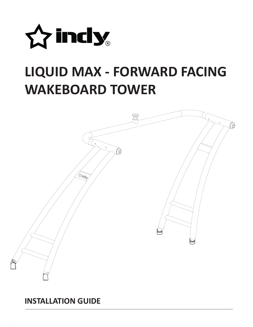

# **LIQUID MAX - FORWARD FACING WAKEBOARD TOWER**



## **INSTALLATION GUIDE**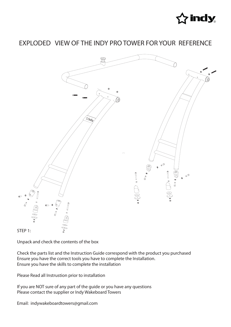

## EXPLODED VIEW OF THE INDY PRO TOWER FOR YOUR REFERENCE



Unpack and check the contents of the box

Check the parts list and the Instruction Guide correspond with the product you purchased Ensure you have the correct tools you have to complete the Installation. Ensure you have the skills to complete the installation

Please Read all Instrustion prior to installation

If you are NOT sure of any part of the guide or you have any questions Please contact the supplier or Indy Wakeboard Towers

Email: indywakeboardtowers@gmail.com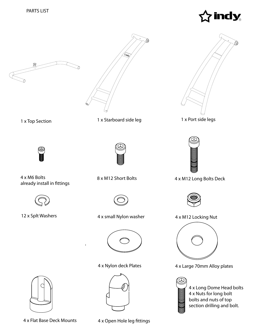





1 x Top Section 1 x Starboard side leg 1 x Port side legs



4 x M6 Bolts already install in fittings







12 x Splt Washers **4 x small Nylon washer** 4 x M12 Locking Nut



 $\overline{1}$ 







8 x M12 Short Bolts 4 x M12 Long Bolts Deck





4 x Nylon deck Plates 4 x Large 70mm Alloy plates





4 x Flat Base Deck Mounts 4 x Open Hole leg fittings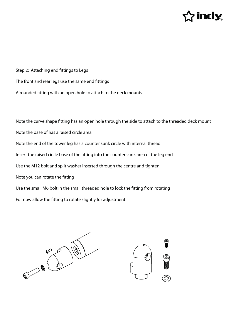

Step 2: Attaching end fittings to Legs The front and rear legs use the same end fittings A rounded fitting with an open hole to attach to the deck mounts

Note the curve shape fitting has an open hole through the side to attach to the threaded deck mount Note the base of has a raised circle area Note the end of the tower leg has a counter sunk circle with internal thread Insert the raised circle base of the fitting into the counter sunk area of the leg end Use the M12 bolt and split washer inserted through the centre and tighten. Note you can rotate the fitting Use the small M6 bolt in the small threaded hole to lock the fitting from rotating For now allow the fitting to rotate slightly for adjustment.



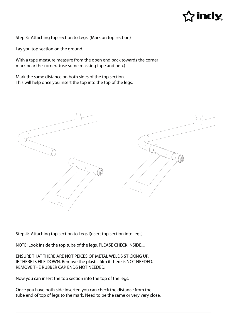

Step 3: Attaching top section to Legs (Mark on top section)

Lay you top section on the ground.

With a tape measure measure from the open end back towards the corner mark near the corner. (use some masking tape and pen.)

Mark the same distance on both sides of the top section. This will help once you insert the top into the top of the legs.



Step 4: Attaching top section to Legs I(nsert top section into legs)

NOTE: Look inside the top tube of the legs. PLEASE CHECK INSIDE....

ENSURE THAT THERE ARE NOT PEICES OF METAL WELDS STICKING UP. IF THERE IS FILE DOWN. Remove the plastic film if there is NOT NEEDED. REMOVE THE RUBBER CAP ENDS NOT NEEDED.

Now you can insert the top section into the top of the legs.

Once you have both side inserted you can check the distance from the tube end of top of legs to the mark. Need to be the same or very very close.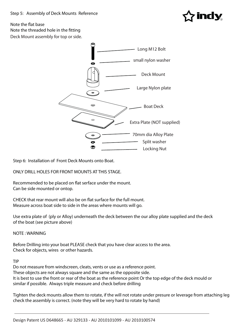![](_page_5_Picture_1.jpeg)

### Deck Mount assembly for top or side. Note the flat base Note the threaded hole in the fitting

![](_page_5_Figure_3.jpeg)

Step 6: Installation of Front Deck Mounts onto Boat.

ONLY DRILL HOLES FOR FRONT MOUNTS AT THIS STAGE.

Recommended to be placed on flat serface under the mount. Can be side mounted or ontop.

CHECK that rear mount will also be on flat surface for the full mount. Measure across boat side to side in the areas where mounts will go.

Use extra plate of (ply or Alloy) underneath the deck between the our alloy plate supplied and the deck of the boat (see picture above)

NOTE : WARNING

Before Drilling into your boat PLEASE check that you have clear access to the area. Check for objects, wires or other hazards.

TIP

Do not measure from windscreen, cleats, vents or use as a reference point. These objects are not always square and the same as the opposite side. It is best to use the front or rear of the boat as the reference point Or the top edge of the deck mould or similar if possible. Always triple measure and check before drilling

Tighten the deck mounts allow them to rotate, if the will not rotate under presure or leverage from attaching leg check the assembly is correct. (note they will be very hard to rotate by hand)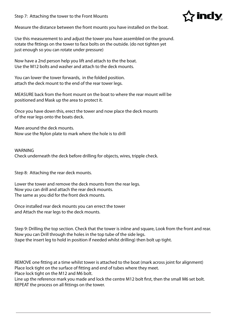Step 7: Attaching the tower to the Front Mounts

![](_page_6_Picture_1.jpeg)

Measure the distance between the front mounts you have installed on the boat.

Use this measurement to and adjust the tower you have assembled on the ground. rotate the fittings on the tower to face bolts on the outside. (do not tighten yet just enough so you can rotate under pressure)

Now have a 2nd person help you lift and attach to the the boat. Use the M12 bolts and washer and attach to the deck mounts.

You can lower the tower forwards, in the folded position. attach the deck mount to the end of the rear tower legs.

MEASURE back from the front mount on the boat to where the rear mount will be positioned and Mask up the area to protect it.

Once you have down this, erect the tower and now place the deck mounts of the rear legs onto the boats deck.

Mare around the deck mounts. Now use the Nylon plate to mark where the hole is to drill

#### WARNING

Check underneath the deck before drilling for objects, wires, tripple check.

Step 8: Attaching the rear deck mounts.

Lower the tower and remove the deck mounts from the rear legs. Now you can drill and attach the rear deck mounts. The same as you did for the front deck mounts.

Once installed rear deck mounts you can errect the tower and Attach the rear legs to the deck mounts.

Step 9: Drilling the top section. Check that the tower is inline and square, Look from the front and rear. Now you can Drill through the holes in the top tube of the side legs. (tape the insert leg to hold in position if needed whilst drilling) then bolt up tight.

REMOVE one fitting at a time whilst tower is attached to the boat (mark across joint for alignment) Place lock tight on the surface of fitting and end of tubes where they meet. Place lock tight on the M12 and M6 bolt.

Line up the reference mark you made and lock the centre M12 bolt first, then the small M6 set bolt. REPEAT the process on all fittings on the tower.